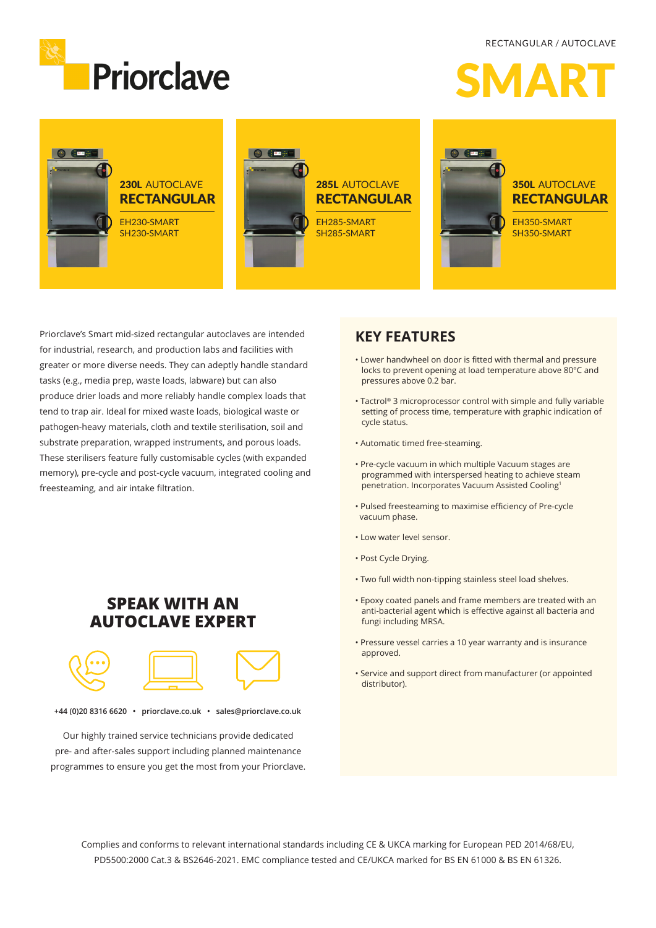RECTANGULAR / AUTOCLAVE







Priorclave's Smart mid-sized rectangular autoclaves are intended for industrial, research, and production labs and facilities with greater or more diverse needs. They can adeptly handle standard tasks (e.g., media prep, waste loads, labware) but can also produce drier loads and more reliably handle complex loads that tend to trap air. Ideal for mixed waste loads, biological waste or pathogen-heavy materials, cloth and textile sterilisation, soil and substrate preparation, wrapped instruments, and porous loads. These sterilisers feature fully customisable cycles (with expanded memory), pre-cycle and post-cycle vacuum, integrated cooling and freesteaming, and air intake filtration.

### **SPEAK WITH AN AUTOCLAVE EXPERT**



**+44 (0)20 8316 6620 • priorclave.co.uk • sales@priorclave.co.uk**

Our highly trained service technicians provide dedicated pre- and after-sales support including planned maintenance programmes to ensure you get the most from your Priorclave.

### **KEY FEATURES**

- Lower handwheel on door is fitted with thermal and pressure locks to prevent opening at load temperature above 80°C and pressures above 0.2 bar.
- Tactrol® 3 microprocessor control with simple and fully variable setting of process time, temperature with graphic indication of cycle status.
- Automatic timed free-steaming.
- Pre-cycle vacuum in which multiple Vacuum stages are programmed with interspersed heating to achieve steam penetration. Incorporates Vacuum Assisted Cooling1
- Pulsed freesteaming to maximise efficiency of Pre-cycle vacuum phase.
- Low water level sensor.
- Post Cycle Drying.
- Two full width non-tipping stainless steel load shelves.
- Epoxy coated panels and frame members are treated with an anti-bacterial agent which is effective against all bacteria and fungi including MRSA.
- Pressure vessel carries a 10 year warranty and is insurance approved.
- Service and support direct from manufacturer (or appointed distributor).

Complies and conforms to relevant international standards including CE & UKCA marking for European PED 2014/68/EU, PD5500:2000 Cat.3 & BS2646-2021. EMC compliance tested and CE/UKCA marked for BS EN 61000 & BS EN 61326.